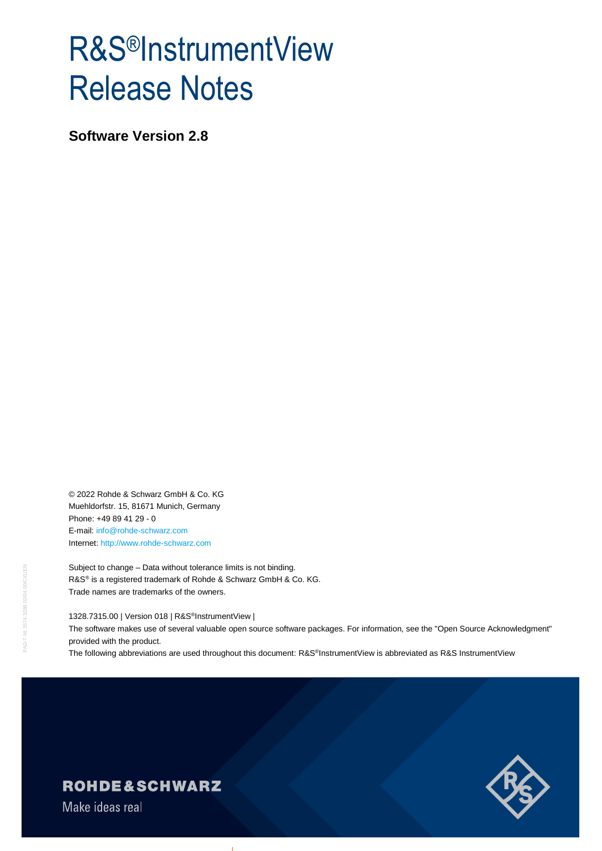# R&S®InstrumentView Release Notes

**Software Version 2.8**

© 2022 Rohde & Schwarz GmbH & Co. KG Muehldorfstr. 15, 81671 Munich, Germany Phone: +49 89 41 29 - 0 E-mail: [info@rohde-schwarz.com](mailto:info@rohde-schwarz.com) Internet[: http://www.rohde-schwarz.com](http://www.rohde-schwarz.com/)

Subject to change – Data without tolerance limits is not binding. R&S<sup>®</sup> is a registered trademark of Rohde & Schwarz GmbH & Co. KG. Trade names are trademarks of the owners.

1328.7315.00 | Version 018 | R&S® InstrumentView |

The software makes use of several valuable open source software packages. For information, see the "Open Source Acknowledgment" provided with the product.

The following abbreviations are used throughout this document: R&S®InstrumentView is abbreviated as R&S InstrumentView



**ROHDE&SCHWARZ** 

Make ideas real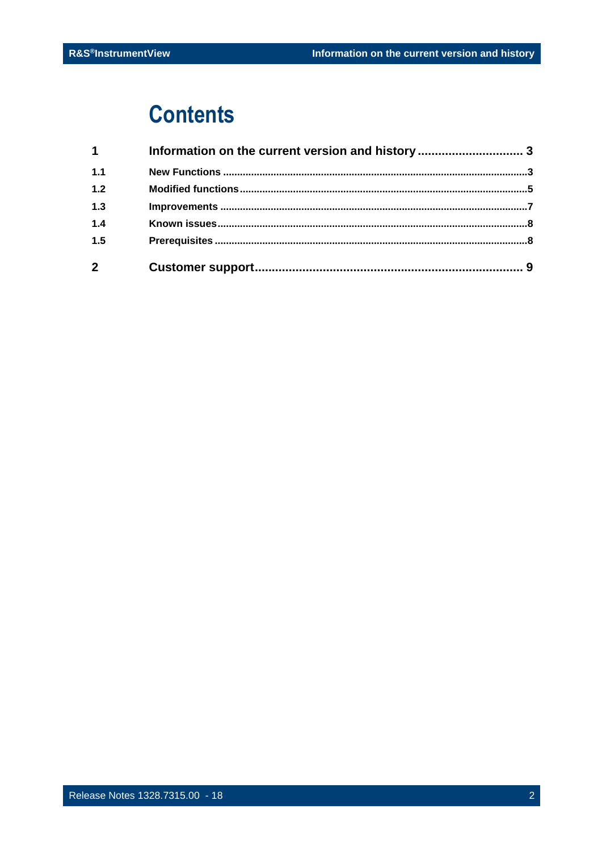## **Contents**

| $\blacktriangleleft$ | Information on the current version and history  3 |  |
|----------------------|---------------------------------------------------|--|
| 1.1                  |                                                   |  |
| $1.2$                |                                                   |  |
| 1.3                  |                                                   |  |
| 1.4                  |                                                   |  |
| 1.5                  |                                                   |  |
| $\mathbf{2}$         |                                                   |  |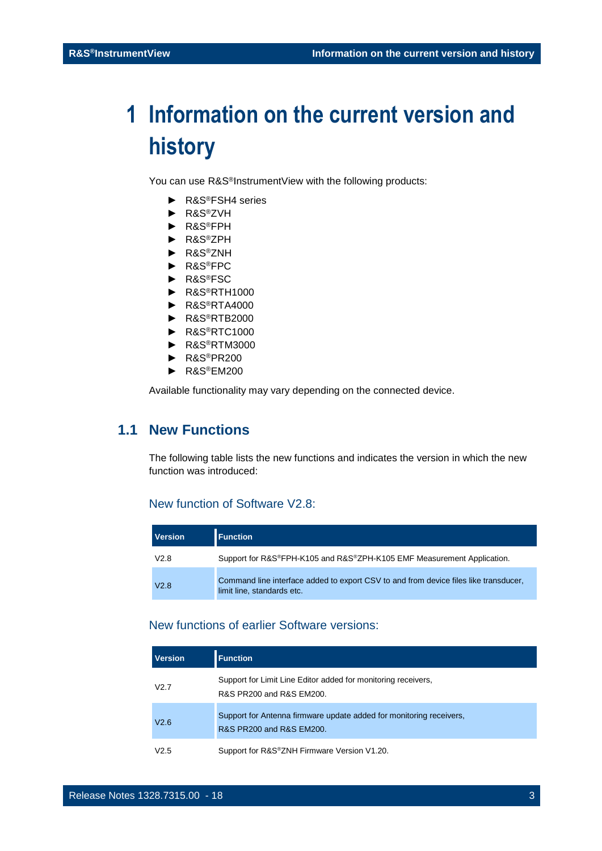## <span id="page-2-0"></span>**1 Information on the current version and history**

You can use R&S®InstrumentView with the following products:

- ► R&S®FSH4 series
- ► R&S®ZVH
- ► R&S®FPH
- ► R&S®ZPH
- ► R&S®ZNH
- ► R&S®FPC
- ► R&S®FSC
- ► R&S®RTH1000
- ► R&S®RTA4000
- ► R&S®RTB2000
- ► R&S®RTC1000
- ► R&S®RTM3000
- ► R&S®PR200
- ► R&S®EM200

<span id="page-2-1"></span>Available functionality may vary depending on the connected device.

## **1.1 New Functions**

The following table lists the new functions and indicates the version in which the new function was introduced:

#### New function of Software V2.8:

| <b>Version</b> | <b>Function</b>                                                                                                    |
|----------------|--------------------------------------------------------------------------------------------------------------------|
| V2.8           | Support for R&S®FPH-K105 and R&S®ZPH-K105 EMF Measurement Application.                                             |
| V2.8           | Command line interface added to export CSV to and from device files like transducer.<br>limit line, standards etc. |

#### New functions of earlier Software versions:

| Version | <b>Function</b>                                                                                 |
|---------|-------------------------------------------------------------------------------------------------|
| V2.7    | Support for Limit Line Editor added for monitoring receivers,<br>R&S PR200 and R&S EM200.       |
| V2.6    | Support for Antenna firmware update added for monitoring receivers.<br>R&S PR200 and R&S EM200. |
| V2.5    | Support for R&S®ZNH Firmware Version V1.20.                                                     |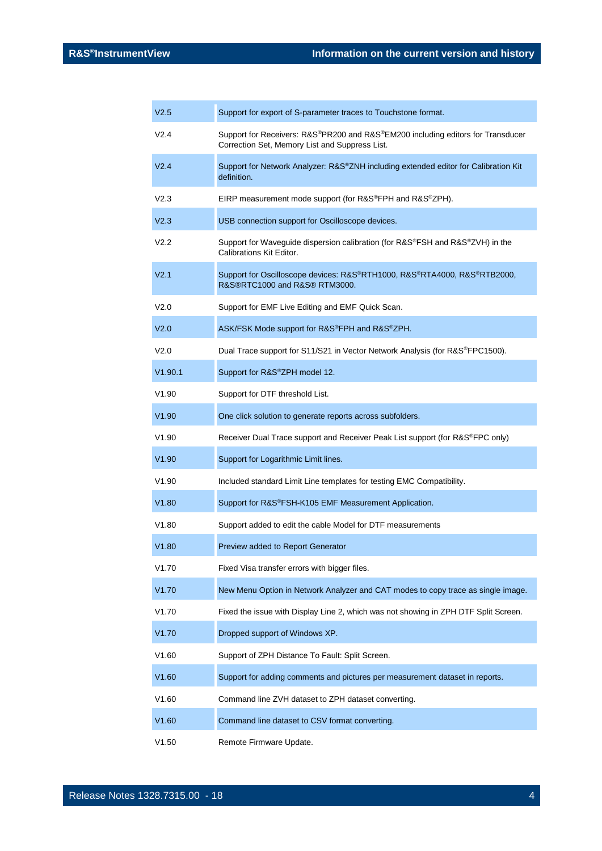| V <sub>2.5</sub> | Support for export of S-parameter traces to Touchstone format.                                                                    |
|------------------|-----------------------------------------------------------------------------------------------------------------------------------|
| V <sub>2.4</sub> | Support for Receivers: R&S®PR200 and R&S®EM200 including editors for Transducer<br>Correction Set, Memory List and Suppress List. |
| V <sub>2.4</sub> | Support for Network Analyzer: R&S®ZNH including extended editor for Calibration Kit<br>definition.                                |
| V <sub>2.3</sub> | EIRP measurement mode support (for R&S®FPH and R&S®ZPH).                                                                          |
| V <sub>2.3</sub> | USB connection support for Oscilloscope devices.                                                                                  |
| V <sub>2.2</sub> | Support for Waveguide dispersion calibration (for R&S®FSH and R&S®ZVH) in the<br>Calibrations Kit Editor.                         |
| V <sub>2.1</sub> | Support for Oscilloscope devices: R&S®RTH1000, R&S®RTA4000, R&S®RTB2000,<br>R&S®RTC1000 and R&S® RTM3000.                         |
| V2.0             | Support for EMF Live Editing and EMF Quick Scan.                                                                                  |
| V <sub>2.0</sub> | ASK/FSK Mode support for R&S®FPH and R&S®ZPH.                                                                                     |
| V2.0             | Dual Trace support for S11/S21 in Vector Network Analysis (for R&S®FPC1500).                                                      |
| V1.90.1          | Support for R&S®ZPH model 12.                                                                                                     |
| V1.90            | Support for DTF threshold List.                                                                                                   |
| V1.90            | One click solution to generate reports across subfolders.                                                                         |
| V1.90            | Receiver Dual Trace support and Receiver Peak List support (for R&S®FPC only)                                                     |
| V1.90            | Support for Logarithmic Limit lines.                                                                                              |
|                  |                                                                                                                                   |
| V1.90            | Included standard Limit Line templates for testing EMC Compatibility.                                                             |
| V1.80            | Support for R&S®FSH-K105 EMF Measurement Application.                                                                             |
| V1.80            | Support added to edit the cable Model for DTF measurements                                                                        |
| V1.80            | Preview added to Report Generator                                                                                                 |
| V1.70            | Fixed Visa transfer errors with bigger files.                                                                                     |
| V1.70            | New Menu Option in Network Analyzer and CAT modes to copy trace as single image.                                                  |
| V1.70            | Fixed the issue with Display Line 2, which was not showing in ZPH DTF Split Screen.                                               |
| V1.70            | Dropped support of Windows XP.                                                                                                    |
| V1.60            | Support of ZPH Distance To Fault: Split Screen.                                                                                   |
| V1.60            | Support for adding comments and pictures per measurement dataset in reports.                                                      |
| V1.60            | Command line ZVH dataset to ZPH dataset converting.                                                                               |
| V1.60            | Command line dataset to CSV format converting.                                                                                    |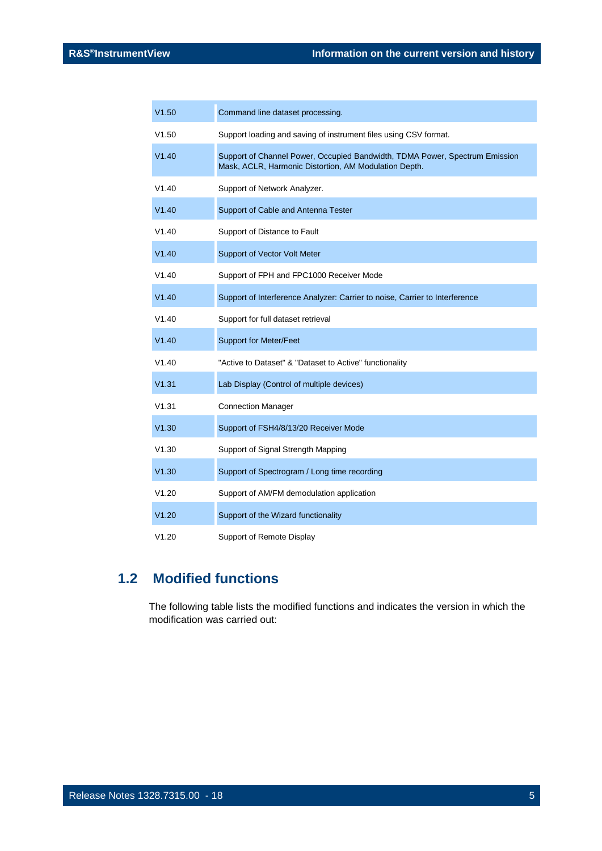| V1.50 | Command line dataset processing.                                                                                                     |
|-------|--------------------------------------------------------------------------------------------------------------------------------------|
| V1.50 | Support loading and saving of instrument files using CSV format.                                                                     |
| V1.40 | Support of Channel Power, Occupied Bandwidth, TDMA Power, Spectrum Emission<br>Mask, ACLR, Harmonic Distortion, AM Modulation Depth. |
| V1.40 | Support of Network Analyzer.                                                                                                         |
| V1.40 | Support of Cable and Antenna Tester                                                                                                  |
| V1.40 | Support of Distance to Fault                                                                                                         |
| V1.40 | Support of Vector Volt Meter                                                                                                         |
| V1.40 | Support of FPH and FPC1000 Receiver Mode                                                                                             |
| V1.40 | Support of Interference Analyzer: Carrier to noise, Carrier to Interference                                                          |
| V1.40 | Support for full dataset retrieval                                                                                                   |
| V1.40 | <b>Support for Meter/Feet</b>                                                                                                        |
| V1.40 | "Active to Dataset" & "Dataset to Active" functionality                                                                              |
| V1.31 | Lab Display (Control of multiple devices)                                                                                            |
| V1.31 | <b>Connection Manager</b>                                                                                                            |
| V1.30 | Support of FSH4/8/13/20 Receiver Mode                                                                                                |
| V1.30 | Support of Signal Strength Mapping                                                                                                   |
| V1.30 | Support of Spectrogram / Long time recording                                                                                         |
| V1.20 | Support of AM/FM demodulation application                                                                                            |
| V1.20 | Support of the Wizard functionality                                                                                                  |
| V1.20 | Support of Remote Display                                                                                                            |

## <span id="page-4-0"></span>**1.2 Modified functions**

The following table lists the modified functions and indicates the version in which the modification was carried out: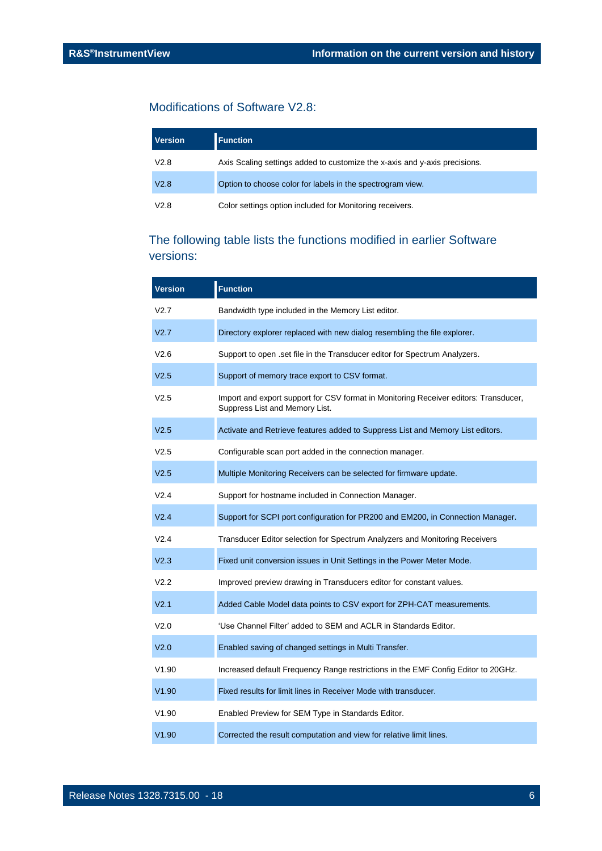### Modifications of Software V2.8:

| <b>Version</b> | <b>Function</b>                                                            |
|----------------|----------------------------------------------------------------------------|
| V2.8           | Axis Scaling settings added to customize the x-axis and y-axis precisions. |
| V2.8           | Option to choose color for labels in the spectrogram view.                 |
| V2.8           | Color settings option included for Monitoring receivers.                   |

### The following table lists the functions modified in earlier Software versions:

| <b>Version</b>   | <b>Function</b>                                                                                                        |
|------------------|------------------------------------------------------------------------------------------------------------------------|
| V2.7             | Bandwidth type included in the Memory List editor.                                                                     |
| V <sub>2.7</sub> | Directory explorer replaced with new dialog resembling the file explorer.                                              |
| V2.6             | Support to open .set file in the Transducer editor for Spectrum Analyzers.                                             |
| V <sub>2.5</sub> | Support of memory trace export to CSV format.                                                                          |
| V2.5             | Import and export support for CSV format in Monitoring Receiver editors: Transducer,<br>Suppress List and Memory List. |
| V <sub>2.5</sub> | Activate and Retrieve features added to Suppress List and Memory List editors.                                         |
| V2.5             | Configurable scan port added in the connection manager.                                                                |
| V <sub>2.5</sub> | Multiple Monitoring Receivers can be selected for firmware update.                                                     |
| V2.4             | Support for hostname included in Connection Manager.                                                                   |
| V2.4             | Support for SCPI port configuration for PR200 and EM200, in Connection Manager.                                        |
| V2.4             | Transducer Editor selection for Spectrum Analyzers and Monitoring Receivers                                            |
| V <sub>2.3</sub> | Fixed unit conversion issues in Unit Settings in the Power Meter Mode.                                                 |
| V2.2             | Improved preview drawing in Transducers editor for constant values.                                                    |
| V <sub>2.1</sub> | Added Cable Model data points to CSV export for ZPH-CAT measurements.                                                  |
| V2.0             | 'Use Channel Filter' added to SEM and ACLR in Standards Editor.                                                        |
| V <sub>2.0</sub> | Enabled saving of changed settings in Multi Transfer.                                                                  |
| V1.90            | Increased default Frequency Range restrictions in the EMF Config Editor to 20GHz.                                      |
| V1.90            | Fixed results for limit lines in Receiver Mode with transducer.                                                        |
| V1.90            | Enabled Preview for SEM Type in Standards Editor.                                                                      |
| V1.90            | Corrected the result computation and view for relative limit lines.                                                    |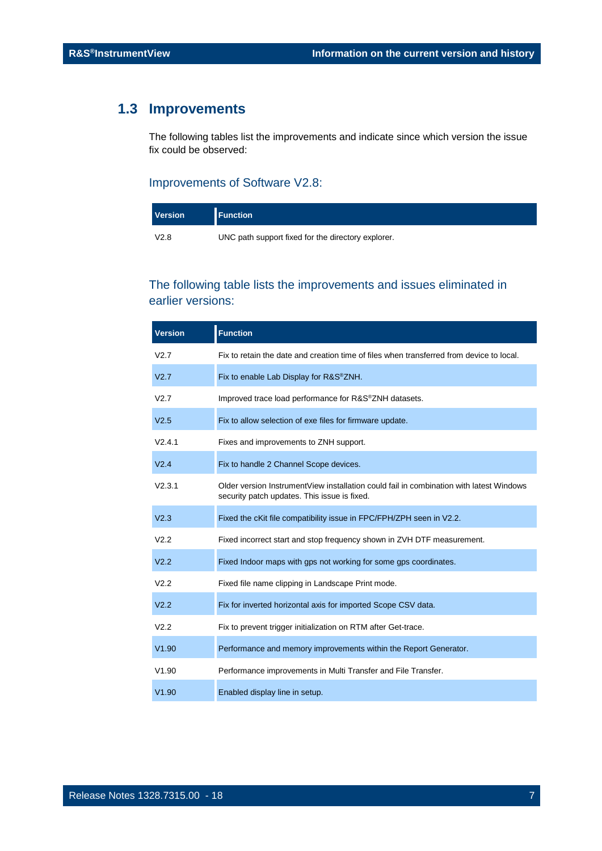## <span id="page-6-0"></span>**1.3 Improvements**

The following tables list the improvements and indicate since which version the issue fix could be observed:

#### Improvements of Software V2.8:

| <b>Version</b> | <b>I</b> Function                                  |
|----------------|----------------------------------------------------|
| V2.8           | UNC path support fixed for the directory explorer. |

### The following table lists the improvements and issues eliminated in earlier versions:

| <b>Version</b>   | <b>Function</b>                                                                                                                         |
|------------------|-----------------------------------------------------------------------------------------------------------------------------------------|
| V2.7             | Fix to retain the date and creation time of files when transferred from device to local.                                                |
| V <sub>2.7</sub> | Fix to enable Lab Display for R&S <sup>®</sup> ZNH.                                                                                     |
| V2.7             | Improved trace load performance for R&S®ZNH datasets.                                                                                   |
| V <sub>2.5</sub> | Fix to allow selection of exe files for firmware update.                                                                                |
| V2.4.1           | Fixes and improvements to ZNH support.                                                                                                  |
| V <sub>2.4</sub> | Fix to handle 2 Channel Scope devices.                                                                                                  |
| V2.3.1           | Older version InstrumentView installation could fail in combination with latest Windows<br>security patch updates. This issue is fixed. |
| V <sub>2.3</sub> | Fixed the cKit file compatibility issue in FPC/FPH/ZPH seen in V2.2.                                                                    |
| V <sub>2.2</sub> | Fixed incorrect start and stop frequency shown in ZVH DTF measurement.                                                                  |
| V <sub>2.2</sub> | Fixed Indoor maps with gps not working for some gps coordinates.                                                                        |
| V2.2             | Fixed file name clipping in Landscape Print mode.                                                                                       |
| V <sub>2.2</sub> | Fix for inverted horizontal axis for imported Scope CSV data.                                                                           |
| V <sub>2.2</sub> | Fix to prevent trigger initialization on RTM after Get-trace.                                                                           |
| V1.90            | Performance and memory improvements within the Report Generator.                                                                        |
| V1.90            | Performance improvements in Multi Transfer and File Transfer.                                                                           |
| V1.90            | Enabled display line in setup.                                                                                                          |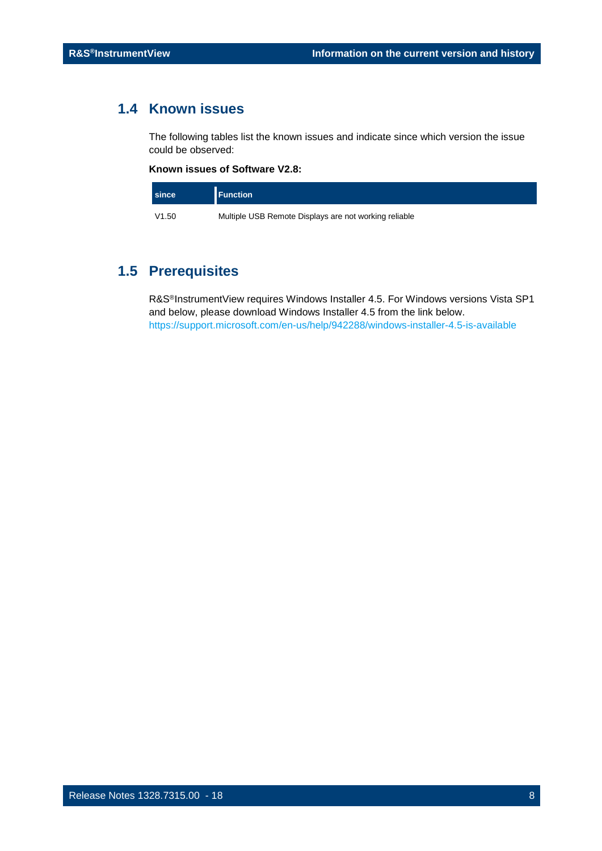## <span id="page-7-0"></span>**1.4 Known issues**

The following tables list the known issues and indicate since which version the issue could be observed:

#### **Known issues of Software V2.8:**

| since | <b>Function</b>                                       |
|-------|-------------------------------------------------------|
| V1.50 | Multiple USB Remote Displays are not working reliable |

## <span id="page-7-1"></span>**1.5 Prerequisites**

R&S®InstrumentView requires Windows Installer 4.5. For Windows versions Vista SP1 and below, please download Windows Installer 4.5 from the link below. <https://support.microsoft.com/en-us/help/942288/windows-installer-4.5-is-available>